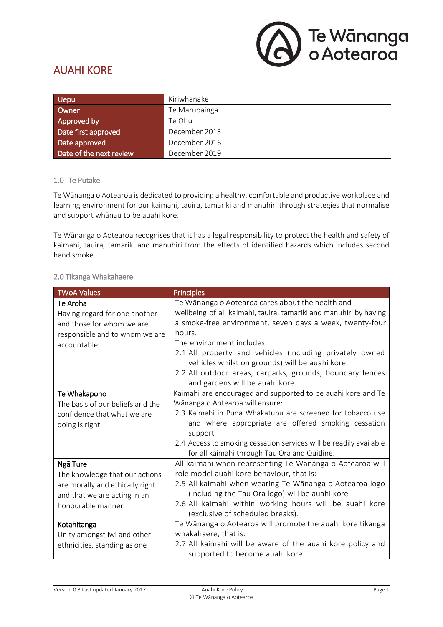

# AUAHI KORE

| <b>Uepū</b>             | Kiriwhanake   |
|-------------------------|---------------|
| Owner                   | Te Marupainga |
| Approved by             | Te Ohu        |
| Date first approved     | December 2013 |
| Date approved           | December 2016 |
| Date of the next review | December 2019 |

#### 1.0 Te Pūtake

Te Wānanga o Aotearoa is dedicated to providing a healthy, comfortable and productive workplace and learning environment for our kaimahi, tauira, tamariki and manuhiri through strategies that normalise and support whānau to be auahi kore.

Te Wānanga o Aotearoa recognises that it has a legal responsibility to protect the health and safety of kaimahi, tauira, tamariki and manuhiri from the effects of identified hazards which includes second hand smoke.

### 2.0 Tikanga Whakahaere

| <b>TWoA Values</b>                                                                                                                 | <b>Principles</b>                                                                                                                                                                                                                                                                                                                                                                                                                      |
|------------------------------------------------------------------------------------------------------------------------------------|----------------------------------------------------------------------------------------------------------------------------------------------------------------------------------------------------------------------------------------------------------------------------------------------------------------------------------------------------------------------------------------------------------------------------------------|
| Te Aroha<br>Having regard for one another<br>and those for whom we are<br>responsible and to whom we are<br>accountable            | Te Wānanga o Aotearoa cares about the health and<br>wellbeing of all kaimahi, tauira, tamariki and manuhiri by having<br>a smoke-free environment, seven days a week, twenty-four<br>hours.<br>The environment includes:<br>2.1 All property and vehicles (including privately owned<br>vehicles whilst on grounds) will be auahi kore<br>2.2 All outdoor areas, carparks, grounds, boundary fences<br>and gardens will be auahi kore. |
| Te Whakapono<br>The basis of our beliefs and the<br>confidence that what we are<br>doing is right                                  | Kaimahi are encouraged and supported to be auahi kore and Te<br>Wānanga o Aotearoa will ensure:<br>2.3 Kaimahi in Puna Whakatupu are screened for tobacco use<br>and where appropriate are offered smoking cessation<br>support<br>2.4 Access to smoking cessation services will be readily available<br>for all kaimahi through Tau Ora and Quitline.                                                                                 |
| Ngā Ture<br>The knowledge that our actions<br>are morally and ethically right<br>and that we are acting in an<br>honourable manner | All kaimahi when representing Te Wānanga o Aotearoa will<br>role model auahi kore behaviour, that is:<br>2.5 All kaimahi when wearing Te Wānanga o Aotearoa logo<br>(including the Tau Ora logo) will be auahi kore<br>2.6 All kaimahi within working hours will be auahi kore<br>(exclusive of scheduled breaks).                                                                                                                     |
| Kotahitanga<br>Unity amongst iwi and other<br>ethnicities, standing as one                                                         | Te Wānanga o Aotearoa will promote the auahi kore tikanga<br>whakahaere, that is:<br>2.7 All kaimahi will be aware of the auahi kore policy and<br>supported to become auahi kore                                                                                                                                                                                                                                                      |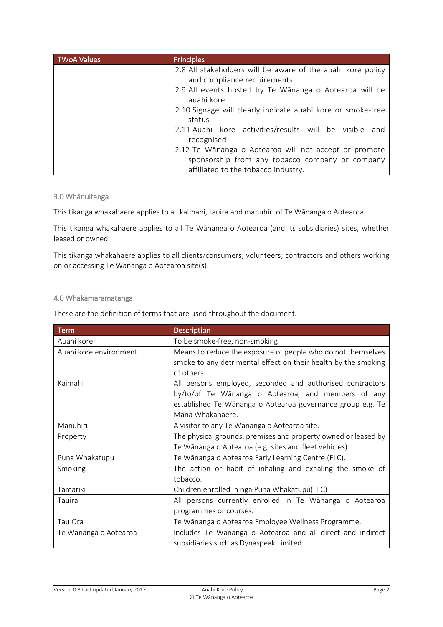| <b>TWoA Values</b> | <b>Principles</b>                                           |
|--------------------|-------------------------------------------------------------|
|                    | 2.8 All stakeholders will be aware of the auahi kore policy |
|                    | and compliance requirements                                 |
|                    | 2.9 All events hosted by Te Wānanga o Aotearoa will be      |
|                    | auahi kore                                                  |
|                    | 2.10 Signage will clearly indicate auahi kore or smoke-free |
|                    | status                                                      |
|                    | 2.11 Auahi kore activities/results will be visible and      |
|                    | recognised                                                  |
|                    | 2.12 Te Wānanga o Aotearoa will not accept or promote       |
|                    | sponsorship from any tobacco company or company             |
|                    | affiliated to the tobacco industry.                         |

#### 3.0 Whānuitanga

This tikanga whakahaere applies to all kaimahi, tauira and manuhiri of Te Wānanga o Aotearoa.

This tikanga whakahaere applies to all Te Wānanga o Aotearoa (and its subsidiaries) sites, whether leased or owned.

This tikanga whakahaere applies to all clients/consumers; volunteers; contractors and others working on or accessing Te Wānanga o Aotearoa site(s).

### 4.0 Whakamāramatanga

These are the definition of terms that are used throughout the document.

| Term                   | <b>Description</b>                                                           |
|------------------------|------------------------------------------------------------------------------|
| Auahi kore             | To be smoke-free, non-smoking                                                |
| Auahi kore environment | Means to reduce the exposure of people who do not themselves                 |
|                        | smoke to any detrimental effect on their health by the smoking<br>of others. |
| Kaimahi                | All persons employed, seconded and authorised contractors                    |
|                        | by/to/of Te Wānanga o Aotearoa, and members of any                           |
|                        | established Te Wānanga o Aotearoa governance group e.g. Te                   |
|                        | Mana Whakahaere.                                                             |
| Manuhiri               | A visitor to any Te Wānanga o Aotearoa site.                                 |
| Property               | The physical grounds, premises and property owned or leased by               |
|                        | Te Wānanga o Aotearoa (e.g. sites and fleet vehicles).                       |
| Puna Whakatupu         | Te Wānanga o Aotearoa Early Learning Centre (ELC).                           |
| Smoking                | The action or habit of inhaling and exhaling the smoke of                    |
|                        | tobacco.                                                                     |
| Tamariki               | Children enrolled in ngā Puna Whakatupu(ELC)                                 |
| Tauira                 | All persons currently enrolled in Te Wānanga o Aotearoa                      |
|                        | programmes or courses.                                                       |
| Tau Ora                | Te Wānanga o Aotearoa Employee Wellness Programme.                           |
| Te Wānanga o Aotearoa  | Includes Te Wānanga o Aotearoa and all direct and indirect                   |
|                        | subsidiaries such as Dynaspeak Limited.                                      |